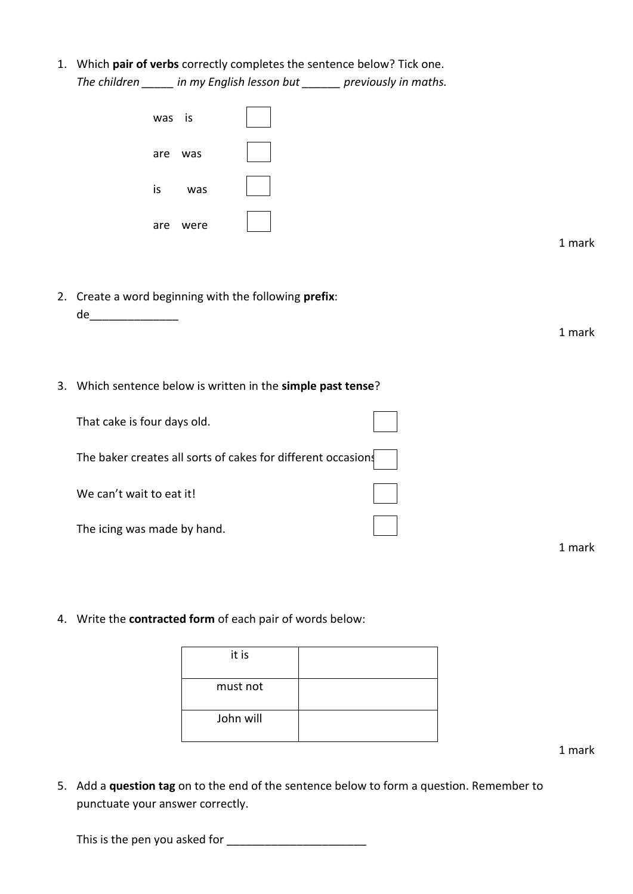1. Which **pair of verbs** correctly completes the sentence below? Tick one. *The children \_\_\_\_\_ in my English lesson but \_\_\_\_\_\_ previously in maths.*

| was is      |        |
|-------------|--------|
| are<br>was  |        |
| is<br>was   |        |
| are<br>were |        |
|             | 1 mark |

2. Create a word beginning with the following **prefix**:

de\_\_\_\_\_\_\_\_\_\_\_\_\_\_

3. Which sentence below is written in the **simple past tense**?

| That cake is four days old.                                  |  |
|--------------------------------------------------------------|--|
| The baker creates all sorts of cakes for different occasions |  |
| We can't wait to eat it!                                     |  |
| The icing was made by hand.                                  |  |

4. Write the **contracted form** of each pair of words below:

it is must not John will

1 mark

1 mark

5. Add a **question tag** on to the end of the sentence below to form a question. Remember to punctuate your answer correctly.

This is the pen you asked for \_\_\_\_\_\_\_\_\_\_\_\_\_\_\_\_\_\_\_\_\_\_